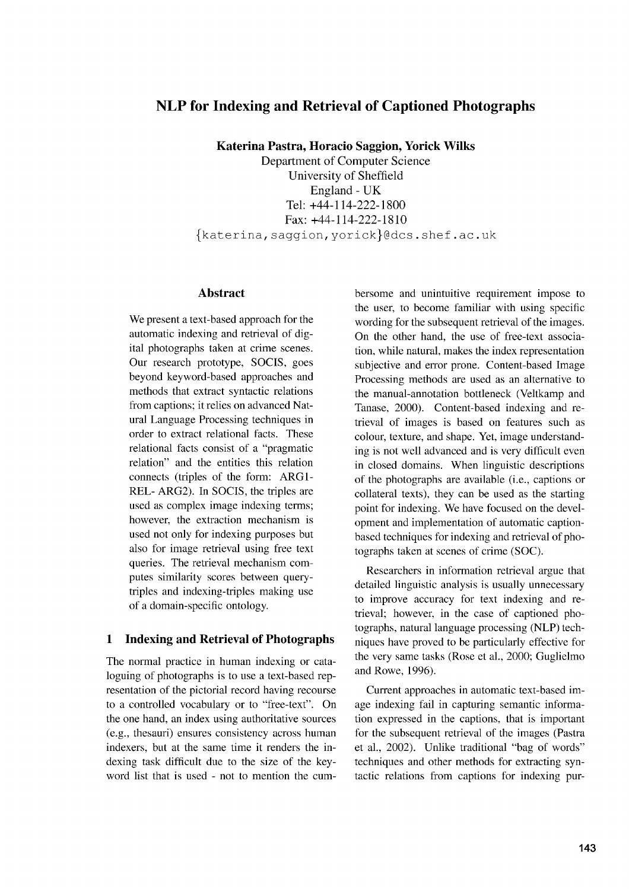# **NLP for Indexing and Retrieval of Captioned Photographs**

**Katerina Pastra, Horacio Saggion, Yorick Wilks**

Department of Computer Science University of Sheffield England - UK Tel: +44-114-222-1800 Fax: +44-114-222-1810 fkaterina,saggion,yorickl@dcs.shef.ac.uk

#### **Abstract**

We present a text-based approach for the automatic indexing and retrieval of digital photographs taken at crime scenes. Our research prototype, SOCIS, goes beyond keyword-based approaches and methods that extract syntactic relations from captions; it relies on advanced Natural Language Processing techniques in order to extract relational facts. These relational facts consist of a "pragmatic relation" and the entities this relation connects (triples of the form: ARG1- REL- ARG2). In SOCIS, the triples are used as complex image indexing terms; however, the extraction mechanism is used not only for indexing purposes but also for image retrieval using free text queries. The retrieval mechanism computes similarity scores between querytriples and indexing-triples making use of a domain-specific ontology.

#### **1 Indexing and Retrieval of Photographs**

The normal practice in human indexing or cataloguing of photographs is to use a text-based representation of the pictorial record having recourse to a controlled vocabulary or to "free-text". On the one hand, an index using authoritative sources (e.g., thesauri) ensures consistency across human indexers, but at the same time it renders the indexing task difficult due to the size of the keyword list that is used - not to mention the cumbersome and unintuitive requirement impose to the user, to become familiar with using specific wording for the subsequent retrieval of the images. On the other hand, the use of free-text association, while natural, makes the index representation subjective and error prone. Content-based Image Processing methods are used as an alternative to the manual-annotation bottleneck (Veltkamp and Tanase, 2000). Content-based indexing and retrieval of images is based on features such as colour, texture, and shape. Yet, image understanding is not well advanced and is very difficult even in closed domains. When linguistic descriptions of the photographs are available (i.e., captions or collateral texts), they can be used as the starting point for indexing. We have focused on the development and implementation of automatic captionbased techniques for indexing and retrieval of photographs taken at scenes of crime (SOC).

Researchers in information retrieval argue that detailed linguistic analysis is usually unnecessary to improve accuracy for text indexing and retrieval; however, in the case of captioned photographs, natural language processing (NLP) techniques have proved to be particularly effective for the very same tasks (Rose et al., 2000; Guglielmo and Rowe, 1996).

Current approaches in automatic text-based image indexing fail in capturing semantic information expressed in the captions, that is important for the subsequent retrieval of the images (Pastra et al., 2002). Unlike traditional "bag of words" techniques and other methods for extracting syntactic relations from captions for indexing pur-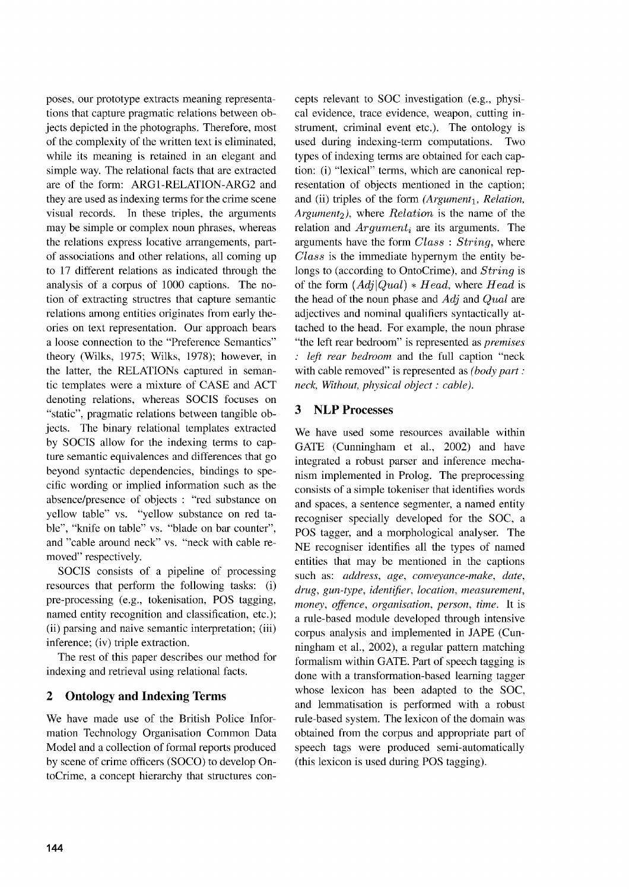poses, our prototype extracts meaning representations that capture pragmatic relations between objects depicted in the photographs. Therefore, most of the complexity of the written text is eliminated, while its meaning is retained in an elegant and simple way. The relational facts that are extracted are of the form: ARG1-RELATION-ARG2 and they are used as indexing terms for the crime scene visual records. In these triples, the arguments may be simple or complex noun phrases, whereas the relations express locative arrangements, partof associations and other relations, all coming up to 17 different relations as indicated through the analysis of a corpus of 1000 captions. The notion of extracting structres that capture semantic relations among entities originates from early theories on text representation. Our approach bears a loose connection to the "Preference Semantics" theory (Wilks, 1975; Wilks, 1978); however, in the latter, the RELATIONs captured in semantic templates were a mixture of CASE and ACT denoting relations, whereas SOCIS focuses on "static", pragmatic relations between tangible objects. The binary relational templates extracted by SOCIS allow for the indexing terms to capture semantic equivalences and differences that go beyond syntactic dependencies, bindings to specific wording or implied information such as the absence/presence of objects : "red substance on yellow table" vs. "yellow substance on red table", "knife on table" vs. "blade on bar counter", and "cable around neck" vs. "neck with cable removed" respectively.

SOCIS consists of a pipeline of processing resources that perform the following tasks: (i) pre-processing (e.g., tokenisation, POS tagging, named entity recognition and classification, etc.); (ii) parsing and naive semantic interpretation; (iii) inference; (iv) triple extraction.

The rest of this paper describes our method for indexing and retrieval using relational facts.

## 2 Ontology and Indexing Terms

We have made use of the British Police Information Technology Organisation Common Data Model and a collection of formal reports produced by scene of crime officers (SOCO) to develop OntoCrime, a concept hierarchy that structures concepts relevant to SOC investigation (e.g., physical evidence, trace evidence, weapon, cutting instrument, criminal event etc.). The ontology is used during indexing-term computations. Two types of indexing terms are obtained for each caption: (i) "lexical" terms, which are canonical representation of objects mentioned in the caption; and (ii) triples of the form *(Argument', Relation, Argument2),* where *Relation* is the name of the relation and *Argument,* are its arguments. The arguments have the form *Class : String,* where *Class* is the immediate hypernym the entity belongs to (according to OntoCrime), and *String* is of the form *(AdjlQual) \* Head,* where *Head* is the head of the noun phase and *Adj* and *Qual* are adjectives and nominal qualifiers syntactically attached to the head. For example, the noun phrase "the left rear bedroom" is represented as *premises : left rear bedroom* and the full caption "neck with cable removed" is represented as *(body part : neck, Without, physical object : cable).*

## 3 NLP Processes

We have used some resources available within GATE (Cunningham et al., 2002) and have integrated a robust parser and inference mechanism implemented in Prolog. The preprocessing consists of a simple tokeniser that identifies words and spaces, a sentence segmenter, a named entity recogniser specially developed for the SOC, a POS tagger, and a morphological analyser. The NE recogniser identifies all the types of named entities that may be mentioned in the captions such as: *address, age, conveyance-make, date, drug, gun-type, identifier, location, measurement, money, offence, organisation, person, time.* It is a rule-based module developed through intensive corpus analysis and implemented in JAPE (Cunningham et al., 2002), a regular pattern matching formalism within GATE. Part of speech tagging is done with a transformation-based learning tagger whose lexicon has been adapted to the SOC, and lemmatisation is performed with a robust rule-based system. The lexicon of the domain was obtained from the corpus and appropriate part of speech tags were produced semi-automatically (this lexicon is used during POS tagging).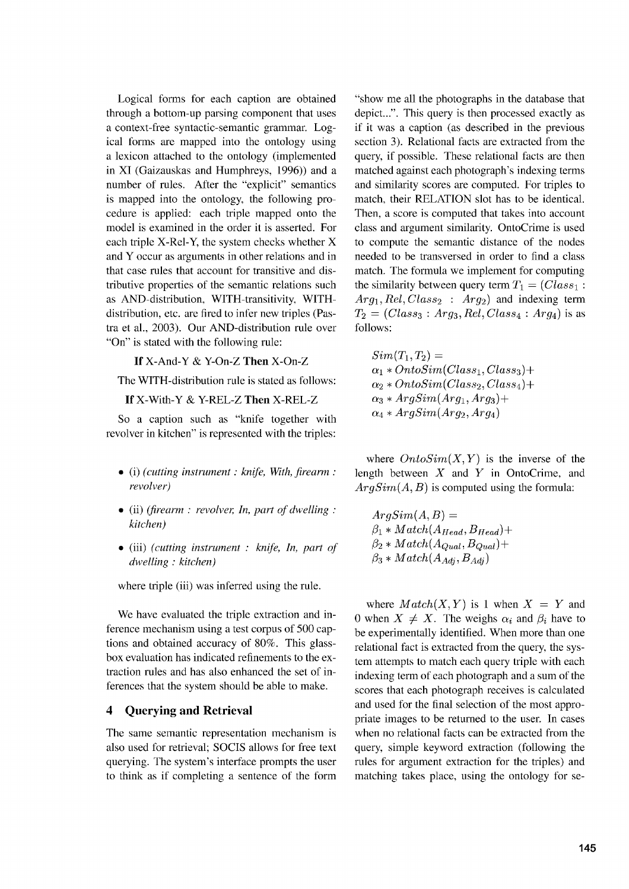Logical forms for each caption are obtained through a bottom-up parsing component that uses a context-free syntactic-semantic grammar. Logical forms are mapped into the ontology using a lexicon attached to the ontology (implemented in XI (Gaizauskas and Humphreys, 1996)) and a number of rules. After the "explicit" semantics is mapped into the ontology, the following procedure is applied: each triple mapped onto the model is examined in the order it is asserted. For each triple X-Rel-Y, the system checks whether X and Y occur as arguments in other relations and in that case rules that account for transitive and distributive properties of the semantic relations such as AND-distribution, WITH-transitivity, WITHdistribution, etc. are fired to infer new triples (Pastra et al., 2003). Our AND-distribution rule over "On" is stated with the following rule:

**If** X-And-Y & Y-On-Z **Then** X-On-Z

The WITH-distribution rule is stated as follows:

**If** X-With-Y & Y-REL-Z **Then** X-REL-Z

So a caption such as "knife together with revolver in kitchen" is represented with the triples:

- *• (i) (cutting instrument : knife, With, firearm: revolver)*
- (ii) *(firearm : revolver, In, part of dwelling kitchen)*
- (iii) *(cutting instrument : knife, In, part of dwelling : kitchen)*

where triple (iii) was inferred using the rule.

We have evaluated the triple extraction and inference mechanism using a test corpus of 500 captions and obtained accuracy of 80%. This glassbox evaluation has indicated refinements to the extraction rules and has also enhanced the set of inferences that the system should be able to make.

### **4 Querying and Retrieval**

The same semantic representation mechanism is also used for retrieval; SOCIS allows for free text querying. The system's interface prompts the user to think as if completing a sentence of the form

"show me all the photographs in the database that depict...". This query is then processed exactly as if it was a caption (as described in the previous section 3). Relational facts are extracted from the query, if possible. These relational facts are then matched against each photograph's indexing terms and similarity scores are computed. For triples to match, their RELATION slot has to be identical. Then, a score is computed that takes into account class and argument similarity. OntoCrime is used to compute the semantic distance of the nodes needed to be transversed in order to find a class match. The formula we implement for computing the similarity between query term  $T_1 = (Class_1 :$ Arg<sub>1</sub>, Rel, Class<sub>2</sub> : Arg<sub>2</sub>) and indexing term  $T_2 = (Class_3 : Arg_3, Rel, Class_4 : Arg_4)$  is as follows:

$$
Sim(T_1,T_2)=\\ \alpha_1*OntoSim(Class_1,Class_3)+\\ \alpha_2*OntoSim(Class_2,Class_4)+\\ \alpha_3*ArgSim(Arg_1, Arg_3)+\\ \alpha_4*ArgSim(Arg_2, Arg_4)
$$

where  $OntoSim(X, Y)$  is the inverse of the length between *X* and Y in OntoCrime, and *ArgSim(A, B)* is computed using the formula:

 $ArgSim(A, B) =$  $\beta_1 * Match(A_{Head}, B_{Head}) +$  $\beta_2 * Match(A_{Qual}, B_{Qual}) +$  $\beta_3 * Match(A_{Adj}, B_{Adj})$ 

where  $Match(X, Y)$  is 1 when  $X = Y$  and 0 when  $X \neq X$ . The weighs  $\alpha_i$  and  $\beta_i$  have to be experimentally identified. When more than one relational fact is extracted from the query, the system attempts to match each query triple with each indexing term of each photograph and a sum of the scores that each photograph receives is calculated and used for the final selection of the most appropriate images to be returned to the user. In cases when no relational facts can be extracted from the query, simple keyword extraction (following the rules for argument extraction for the triples) and matching takes place, using the ontology for se